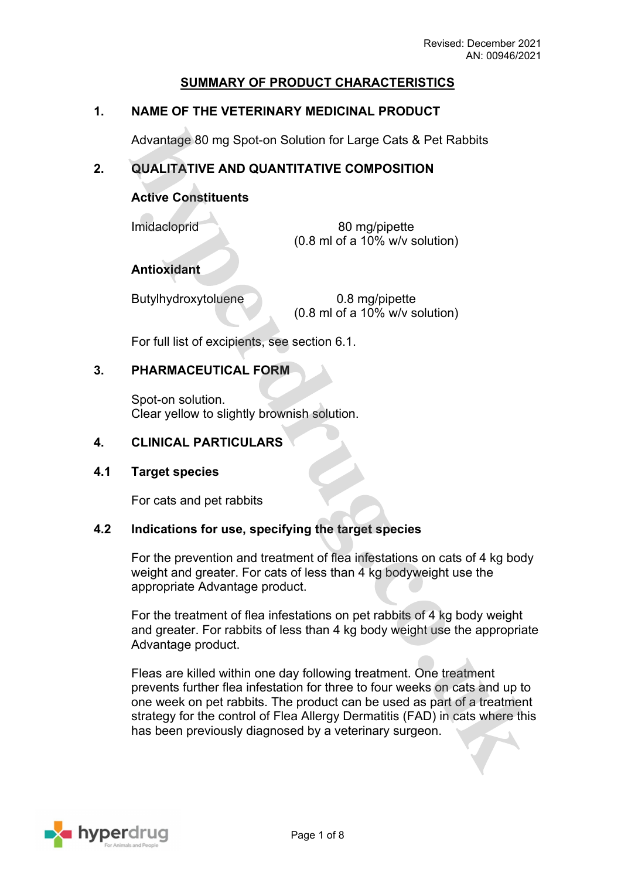# **SUMMARY OF PRODUCT CHARACTERISTICS**

# **1. NAME OF THE VETERINARY MEDICINAL PRODUCT**

Advantage 80 mg Spot-on Solution for Large Cats & Pet Rabbits

# **2. QUALITATIVE AND QUANTITATIVE COMPOSITION**

# **Active Constituents**

Imidacloprid 80 mg/pipette (0.8 ml of a 10% w/v solution)

**Antioxidant**

Butylhydroxytoluene 0.8 mg/pipette

(0.8 ml of a 10% w/v solution)

For full list of excipients, see section 6.1.

### **3. PHARMACEUTICAL FORM**

Spot-on solution. Clear yellow to slightly brownish solution.

### **4. CLINICAL PARTICULARS**

#### **4.1 Target species**

For cats and pet rabbits

#### **4.2 Indications for use, specifying the target species**

For the prevention and treatment of flea infestations on cats of 4 kg body weight and greater. For cats of less than 4 kg bodyweight use the appropriate Advantage product.

For the treatment of flea infestations on pet rabbits of 4 kg body weight and greater. For rabbits of less than 4 kg body weight use the appropriate Advantage product.

Fleas are killed within one day following treatment. One treatment prevents further flea infestation for three to four weeks on cats and up to one week on pet rabbits. The product can be used as part of a treatment strategy for the control of Flea Allergy Dermatitis (FAD) in cats where this has been previously diagnosed by a veterinary surgeon.

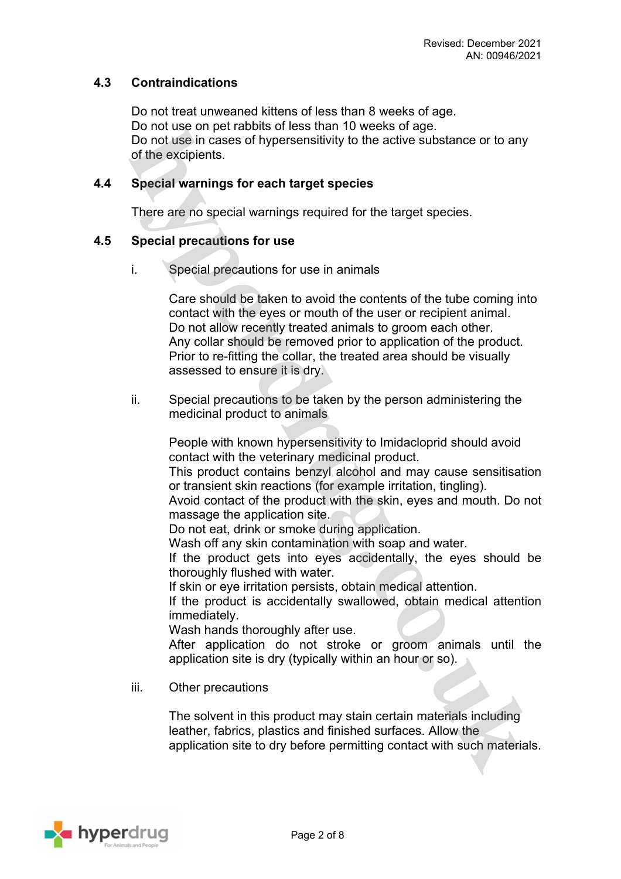### **4.3 Contraindications**

Do not treat unweaned kittens of less than 8 weeks of age. Do not use on pet rabbits of less than 10 weeks of age. Do not use in cases of hypersensitivity to the active substance or to any of the excipients.

#### **4.4 Special warnings for each target species**

There are no special warnings required for the target species.

#### **4.5 Special precautions for use**

i. Special precautions for use in animals

Care should be taken to avoid the contents of the tube coming into contact with the eyes or mouth of the user or recipient animal. Do not allow recently treated animals to groom each other. Any collar should be removed prior to application of the product. Prior to re-fitting the collar, the treated area should be visually assessed to ensure it is dry.

ii. Special precautions to be taken by the person administering the medicinal product to animals

People with known hypersensitivity to Imidacloprid should avoid contact with the veterinary medicinal product.

This product contains benzyl alcohol and may cause sensitisation or transient skin reactions (for example irritation, tingling).

Avoid contact of the product with the skin, eyes and mouth. Do not massage the application site.

Do not eat, drink or smoke during application.

Wash off any skin contamination with soap and water.

If the product gets into eyes accidentally, the eyes should be thoroughly flushed with water.

If skin or eye irritation persists, obtain medical attention.

If the product is accidentally swallowed, obtain medical attention immediately.

Wash hands thoroughly after use.

After application do not stroke or groom animals until the application site is dry (typically within an hour or so).

iii. Other precautions

The solvent in this product may stain certain materials including leather, fabrics, plastics and finished surfaces. Allow the application site to dry before permitting contact with such materials.

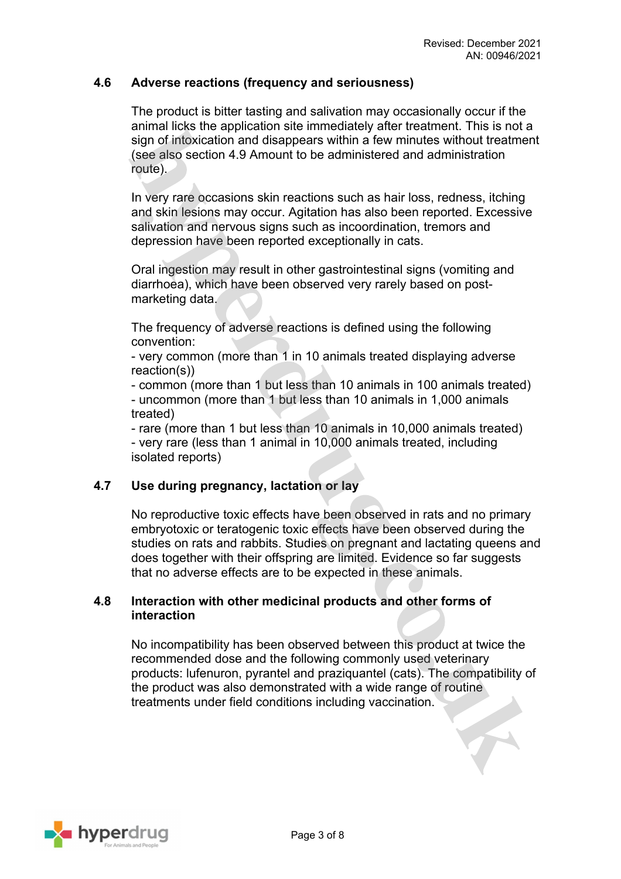### **4.6 Adverse reactions (frequency and seriousness)**

The product is bitter tasting and salivation may occasionally occur if the animal licks the application site immediately after treatment. This is not a sign of intoxication and disappears within a few minutes without treatment (see also section 4.9 Amount to be administered and administration route).

In very rare occasions skin reactions such as hair loss, redness, itching and skin lesions may occur. Agitation has also been reported. Excessive salivation and nervous signs such as incoordination, tremors and depression have been reported exceptionally in cats.

Oral ingestion may result in other gastrointestinal signs (vomiting and diarrhoea), which have been observed very rarely based on postmarketing data.

The frequency of adverse reactions is defined using the following convention:

- very common (more than 1 in 10 animals treated displaying adverse reaction(s))

- common (more than 1 but less than 10 animals in 100 animals treated) - uncommon (more than 1 but less than 10 animals in 1,000 animals treated)

- rare (more than 1 but less than 10 animals in 10,000 animals treated) - very rare (less than 1 animal in 10,000 animals treated, including isolated reports)

# **4.7 Use during pregnancy, lactation or lay**

No reproductive toxic effects have been observed in rats and no primary embryotoxic or teratogenic toxic effects have been observed during the studies on rats and rabbits. Studies on pregnant and lactating queens and does together with their offspring are limited. Evidence so far suggests that no adverse effects are to be expected in these animals.

#### **4.8 Interaction with other medicinal products and other forms of interaction**

No incompatibility has been observed between this product at twice the recommended dose and the following commonly used veterinary products: lufenuron, pyrantel and praziquantel (cats). The compatibility of the product was also demonstrated with a wide range of routine treatments under field conditions including vaccination.

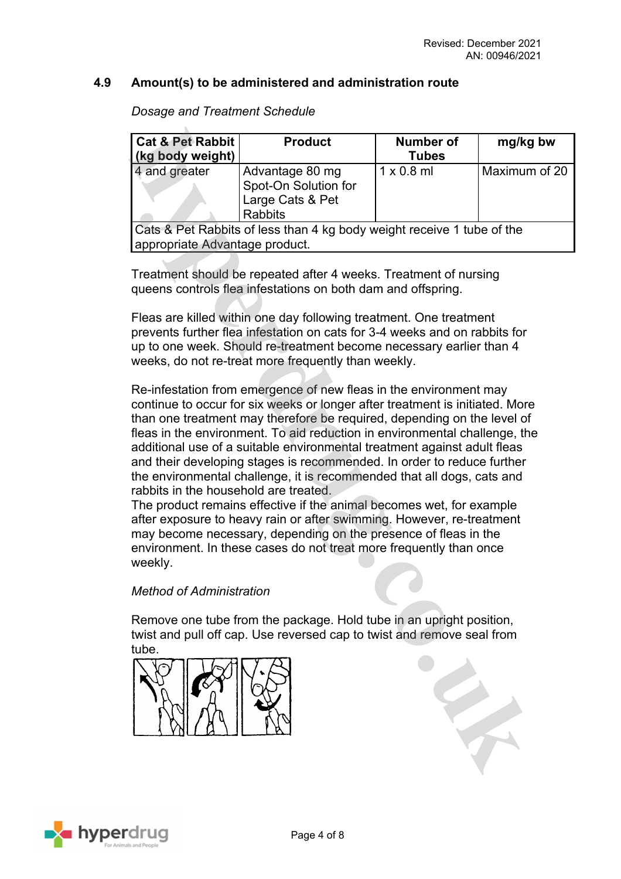#### **4.9 Amount(s) to be administered and administration route**

*Dosage and Treatment Schedule*

| <b>Cat &amp; Pet Rabbit</b><br>(kg body weight)                                                          | <b>Product</b>                                                                | <b>Number of</b><br><b>Tubes</b> | mg/kg bw      |
|----------------------------------------------------------------------------------------------------------|-------------------------------------------------------------------------------|----------------------------------|---------------|
| 4 and greater                                                                                            | Advantage 80 mg<br>Spot-On Solution for<br>Large Cats & Pet<br><b>Rabbits</b> | $1 \times 0.8$ ml                | Maximum of 20 |
| Cats & Pet Rabbits of less than 4 kg body weight receive 1 tube of the<br>appropriate Advantage product. |                                                                               |                                  |               |

Treatment should be repeated after 4 weeks. Treatment of nursing queens controls flea infestations on both dam and offspring.

Fleas are killed within one day following treatment. One treatment prevents further flea infestation on cats for 3-4 weeks and on rabbits for up to one week. Should re-treatment become necessary earlier than 4 weeks, do not re-treat more frequently than weekly.

Re-infestation from emergence of new fleas in the environment may continue to occur for six weeks or longer after treatment is initiated. More than one treatment may therefore be required, depending on the level of fleas in the environment. To aid reduction in environmental challenge, the additional use of a suitable environmental treatment against adult fleas and their developing stages is recommended. In order to reduce further the environmental challenge, it is recommended that all dogs, cats and rabbits in the household are treated.

The product remains effective if the animal becomes wet, for example after exposure to heavy rain or after swimming. However, re-treatment may become necessary, depending on the presence of fleas in the environment. In these cases do not treat more frequently than once weekly.

#### *Method of Administration*

Remove one tube from the package. Hold tube in an upright position, twist and pull off cap. Use reversed cap to twist and remove seal from tube.



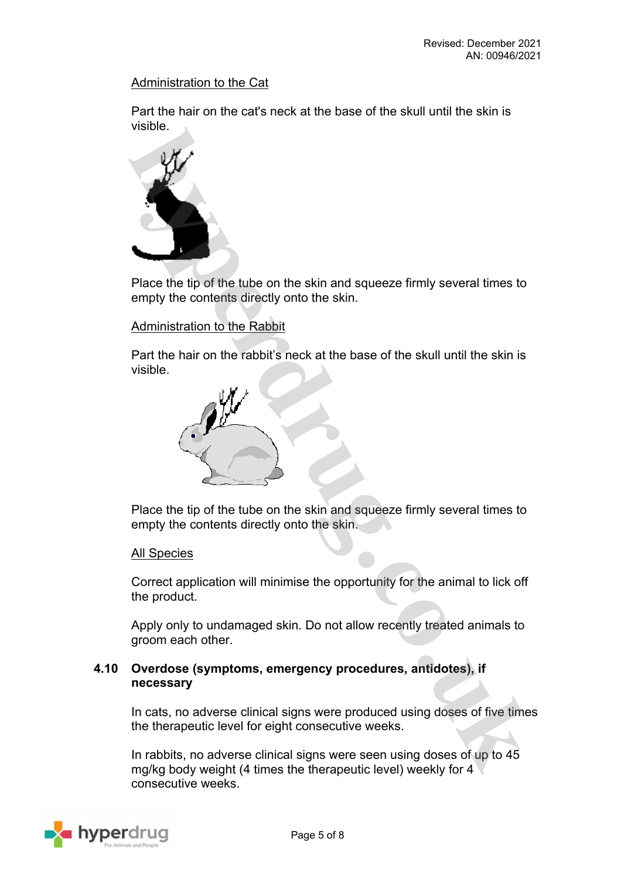#### Administration to the Cat

Part the hair on the cat's neck at the base of the skull until the skin is visible.



Place the tip of the tube on the skin and squeeze firmly several times to empty the contents directly onto the skin.

### Administration to the Rabbit

Part the hair on the rabbit's neck at the base of the skull until the skin is visible.



Place the tip of the tube on the skin and squeeze firmly several times to empty the contents directly onto the skin.

#### All Species

Correct application will minimise the opportunity for the animal to lick off the product.

Apply only to undamaged skin. Do not allow recently treated animals to groom each other.

#### **4.10 Overdose (symptoms, emergency procedures, antidotes), if necessary**

In cats, no adverse clinical signs were produced using doses of five times the therapeutic level for eight consecutive weeks.

In rabbits, no adverse clinical signs were seen using doses of up to 45 mg/kg body weight (4 times the therapeutic level) weekly for 4 consecutive weeks.

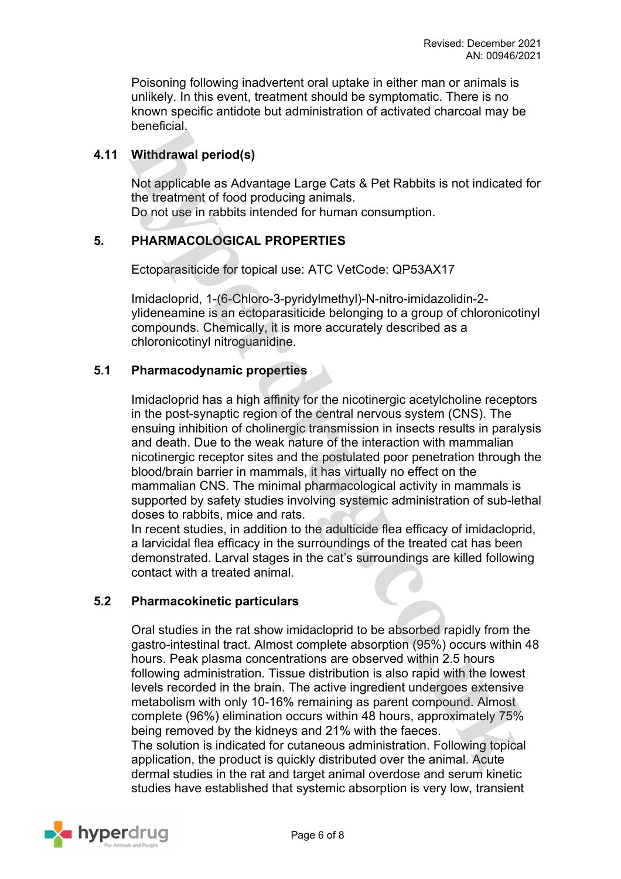Poisoning following inadvertent oral uptake in either man or animals is unlikely. In this event, treatment should be symptomatic. There is no known specific antidote but administration of activated charcoal may be beneficial.

# **4.11 Withdrawal period(s)**

Not applicable as Advantage Large Cats & Pet Rabbits is not indicated for the treatment of food producing animals.

Do not use in rabbits intended for human consumption.

# **5. PHARMACOLOGICAL PROPERTIES**

Ectoparasiticide for topical use: ATC VetCode: QP53AX17

Imidacloprid, 1-(6-Chloro-3-pyridylmethyl)-N-nitro-imidazolidin-2 ylideneamine is an ectoparasiticide belonging to a group of chloronicotinyl compounds. Chemically, it is more accurately described as a chloronicotinyl nitroguanidine.

### **5.1 Pharmacodynamic properties**

Imidacloprid has a high affinity for the nicotinergic acetylcholine receptors in the post-synaptic region of the central nervous system (CNS). The ensuing inhibition of cholinergic transmission in insects results in paralysis and death. Due to the weak nature of the interaction with mammalian nicotinergic receptor sites and the postulated poor penetration through the blood/brain barrier in mammals, it has virtually no effect on the mammalian CNS. The minimal pharmacological activity in mammals is supported by safety studies involving systemic administration of sub-lethal doses to rabbits, mice and rats.

In recent studies, in addition to the adulticide flea efficacy of imidacloprid, a larvicidal flea efficacy in the surroundings of the treated cat has been demonstrated. Larval stages in the cat's surroundings are killed following contact with a treated animal.

### **5.2 Pharmacokinetic particulars**

Oral studies in the rat show imidacloprid to be absorbed rapidly from the gastro-intestinal tract. Almost complete absorption (95%) occurs within 48 hours. Peak plasma concentrations are observed within 2.5 hours following administration. Tissue distribution is also rapid with the lowest levels recorded in the brain. The active ingredient undergoes extensive metabolism with only 10-16% remaining as parent compound. Almost complete (96%) elimination occurs within 48 hours, approximately 75% being removed by the kidneys and 21% with the faeces. The solution is indicated for cutaneous administration. Following topical application, the product is quickly distributed over the animal. Acute dermal studies in the rat and target animal overdose and serum kinetic studies have established that systemic absorption is very low, transient

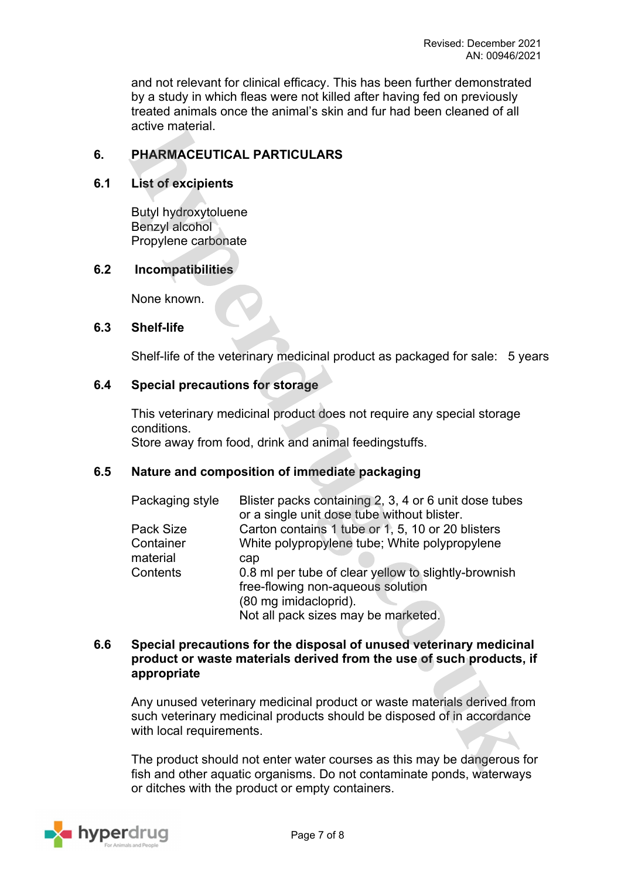and not relevant for clinical efficacy. This has been further demonstrated by a study in which fleas were not killed after having fed on previously treated animals once the animal's skin and fur had been cleaned of all active material.

# **6. PHARMACEUTICAL PARTICULARS**

### **6.1 List of excipients**

Butyl hydroxytoluene Benzyl alcohol Propylene carbonate

# **6.2 Incompatibilities**

None known.

#### **6.3 Shelf-life**

Shelf-life of the veterinary medicinal product as packaged for sale: 5 years

## **6.4 Special precautions for storage**

This veterinary medicinal product does not require any special storage conditions. Store away from food, drink and animal feedingstuffs.

# **6.5 Nature and composition of immediate packaging**

| Blister packs containing 2, 3, 4 or 6 unit dose tubes<br>or a single unit dose tube without blister. |  |
|------------------------------------------------------------------------------------------------------|--|
|                                                                                                      |  |
| Carton contains 1 tube or 1, 5, 10 or 20 blisters                                                    |  |
| White polypropylene tube; White polypropylene                                                        |  |
| cap                                                                                                  |  |
| 0.8 ml per tube of clear yellow to slightly-brownish                                                 |  |
| free-flowing non-aqueous solution                                                                    |  |
| (80 mg imidacloprid).                                                                                |  |
| Not all pack sizes may be marketed.                                                                  |  |
|                                                                                                      |  |

### **6.6 Special precautions for the disposal of unused veterinary medicinal product or waste materials derived from the use of such products, if appropriate**

Any unused veterinary medicinal product or waste materials derived from such veterinary medicinal products should be disposed of in accordance with local requirements.

The product should not enter water courses as this may be dangerous for fish and other aquatic organisms. Do not contaminate ponds, waterways or ditches with the product or empty containers.